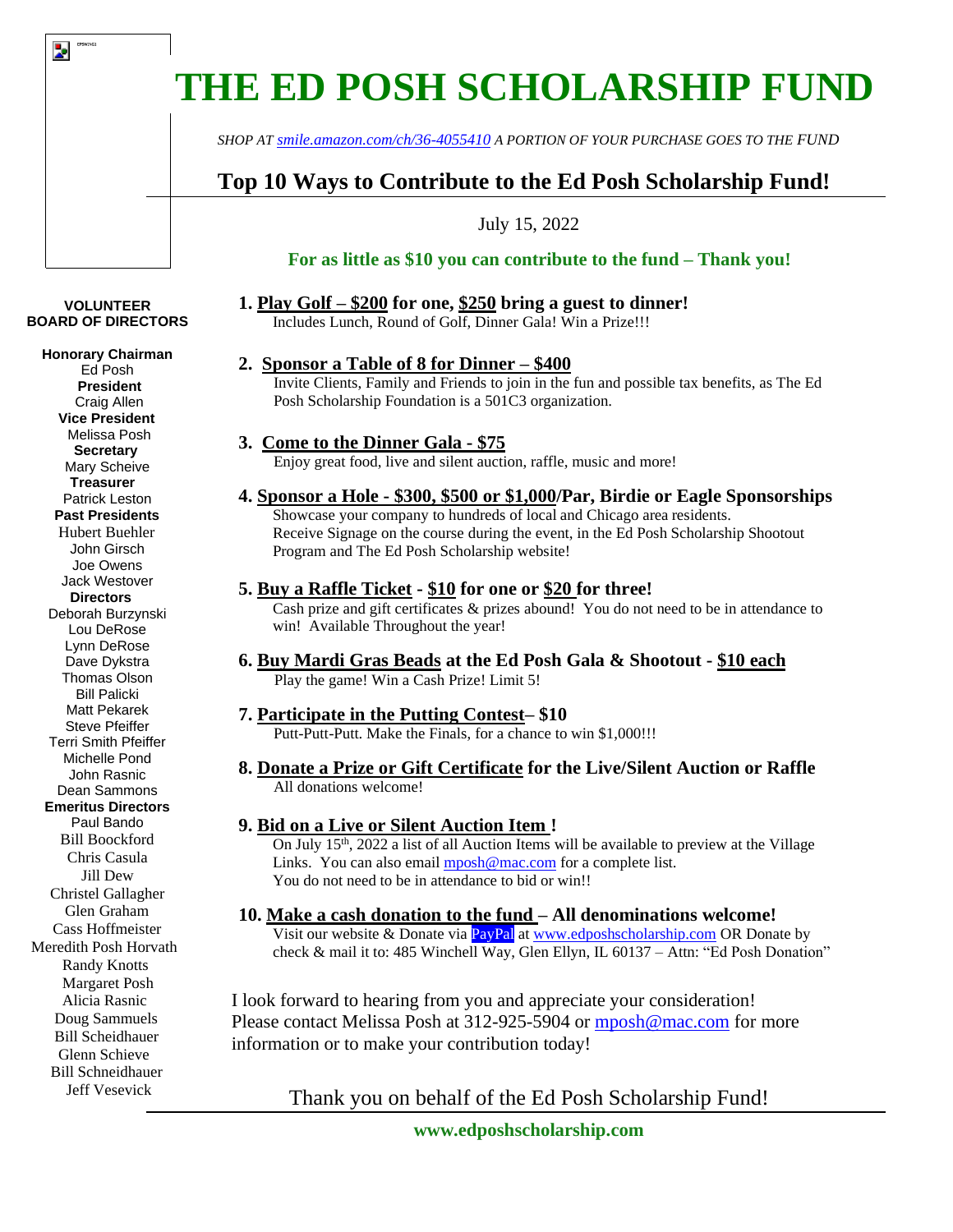# **THE ED POSH SCHOLARSHIP FUND**

*SHOP AT [smile.amazon.com/ch/36-4055410](https://www.amazon.com/gp/r.html?C=1SJXHP25UUQDB&R=3IR3LBW0I3AFU&T=C&U=http%3A%2F%2Fsmile.amazon.com%2Fch%2F36-4055410&A=OHPKEZRGSCQGKL1DWVENWKBWIHWA&H=LX5NBWLAVGUEKJOJCDSTYDAFCJCA) A PORTION OF YOUR PURCHASE GOES TO THE FUND*

# **Top 10 Ways to Contribute to the Ed Posh Scholarship Fund!**

July 15, 2022

## **For as little as \$10 you can contribute to the fund – Thank you!**

# **1. Play Golf – \$200 for one, \$250 bring a guest to dinner!**

Includes Lunch, Round of Golf, Dinner Gala! Win a Prize!!!

## **2. Sponsor a Table of 8 for Dinner – \$400**

Invite Clients, Family and Friends to join in the fun and possible tax benefits, as The Ed Posh Scholarship Foundation is a 501C3 organization.

### **3. Come to the Dinner Gala - \$75**

Enjoy great food, live and silent auction, raffle, music and more!

# **4. Sponsor a Hole - \$300, \$500 or \$1,000/Par, Birdie or Eagle Sponsorships**

Showcase your company to hundreds of local and Chicago area residents. Receive Signage on the course during the event, in the Ed Posh Scholarship Shootout Program and The Ed Posh Scholarship website!

## **5. Buy a Raffle Ticket - \$10 for one or \$20 for three!**

Cash prize and gift certificates & prizes abound! You do not need to be in attendance to win! Available Throughout the year!

#### **6. Buy Mardi Gras Beads at the Ed Posh Gala & Shootout - \$10 each** Play the game! Win a Cash Prize! Limit 5!

#### **7. Participate in the Putting Contest– \$10**

Putt-Putt-Putt. Make the Finals, for a chance to win \$1,000!!!

#### **8. Donate a Prize or Gift Certificate for the Live/Silent Auction or Raffle** All donations welcome!

# **9. Bid on a Live or Silent Auction Item !**

On July 15<sup>th</sup>, 2022 a list of all Auction Items will be available to preview at the Village Links. You can also email [mposh@mac.com](mailto:mposh@mac.com) for a complete list. You do not need to be in attendance to bid or win!!

#### **10. Make a cash donation to the fund – All denominations welcome!**

Visit our website & Donate via **PayPal** a[t www.edposhscholarship.com](http://www.edposhscholarship.com/) OR Donate by check & mail it to: 485 Winchell Way, Glen Ellyn, IL 60137 – Attn: "Ed Posh Donation"

I look forward to hearing from you and appreciate your consideration! Please contact Melissa Posh at 312-925-5904 or [mposh@mac.com](mailto:mposh@mac.com) for more information or to make your contribution today!

# Thank you on behalf of the Ed Posh Scholarship Fund!

#### **VOLUNTEER BOARD OF DIRECTORS**

Þ.

**Honorary Chairman**

Ed Posh **President** Craig Allen  **Vice President** Melissa Posh  **Secretary** Mary Scheive **Treasurer** Patrick Leston  **Past Presidents** Hubert Buehler John Girsch Joe Owens Jack Westover  **Directors** Deborah Burzynski Lou DeRose Lynn DeRose Dave Dykstra Thomas Olson Bill Palicki Matt Pekarek Steve Pfeiffer Terri Smith Pfeiffer Michelle Pond John Rasnic Dean Sammons **Emeritus Directors** Paul Bando Bill Boockford Chris Casula Jill Dew Christel Gallagher Glen Graham Cass Hoffmeister Meredith Posh Horvath Randy Knotts Margaret Posh Alicia Rasnic Doug Sammuels Bill Scheidhauer Glenn Schieve Bill Schneidhauer Jeff Vesevick